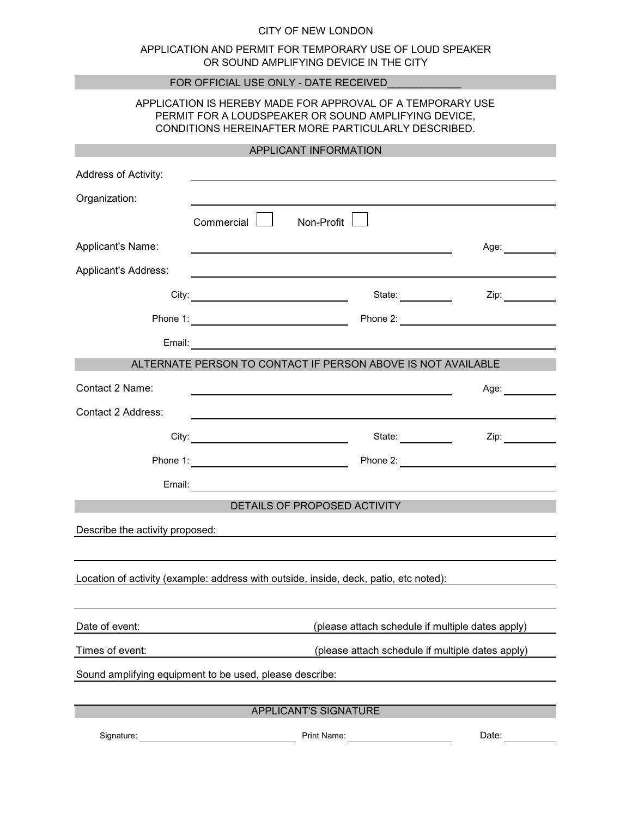## CITY OF NEW LONDON

## APPLICATION AND PERMIT FOR TEMPORARY USE OF LOUD SPEAKER OR SOUND AMPLIFYING DEVICE IN THE CITY

| FOR OFFICIAL USE ONLY - DATE RECEIVED                                                                                                                                     |                                                                                                                                                                                                                                      |                      |                                                                                                                 |  |
|---------------------------------------------------------------------------------------------------------------------------------------------------------------------------|--------------------------------------------------------------------------------------------------------------------------------------------------------------------------------------------------------------------------------------|----------------------|-----------------------------------------------------------------------------------------------------------------|--|
| APPLICATION IS HEREBY MADE FOR APPROVAL OF A TEMPORARY USE<br>PERMIT FOR A LOUDSPEAKER OR SOUND AMPLIFYING DEVICE,<br>CONDITIONS HEREINAFTER MORE PARTICULARLY DESCRIBED. |                                                                                                                                                                                                                                      |                      |                                                                                                                 |  |
| APPLICANT INFORMATION                                                                                                                                                     |                                                                                                                                                                                                                                      |                      |                                                                                                                 |  |
| Address of Activity:                                                                                                                                                      |                                                                                                                                                                                                                                      |                      |                                                                                                                 |  |
| Organization:                                                                                                                                                             |                                                                                                                                                                                                                                      |                      |                                                                                                                 |  |
|                                                                                                                                                                           | Commercial $\lfloor \_ \rfloor$                                                                                                                                                                                                      | Non-Profit           |                                                                                                                 |  |
| Applicant's Name:                                                                                                                                                         |                                                                                                                                                                                                                                      |                      | Age: __________                                                                                                 |  |
| <b>Applicant's Address:</b>                                                                                                                                               |                                                                                                                                                                                                                                      |                      |                                                                                                                 |  |
|                                                                                                                                                                           |                                                                                                                                                                                                                                      | State: <b>State:</b> | Zip: and the state of the state of the state of the state of the state of the state of the state of the state   |  |
|                                                                                                                                                                           |                                                                                                                                                                                                                                      |                      |                                                                                                                 |  |
|                                                                                                                                                                           |                                                                                                                                                                                                                                      |                      |                                                                                                                 |  |
|                                                                                                                                                                           | ALTERNATE PERSON TO CONTACT IF PERSON ABOVE IS NOT AVAILABLE                                                                                                                                                                         |                      |                                                                                                                 |  |
| Contact 2 Name:                                                                                                                                                           |                                                                                                                                                                                                                                      |                      | Age: and the set of the set of the set of the set of the set of the set of the set of the set of the set of the |  |
| Contact 2 Address:                                                                                                                                                        |                                                                                                                                                                                                                                      |                      |                                                                                                                 |  |
|                                                                                                                                                                           | City: <u>contract and contract and contract and contract and contract and contract and contract and contract and contract and contract and contract and contract and contract and contract and contract and contract and contrac</u> | State:               | Zip: $\qquad \qquad$                                                                                            |  |
|                                                                                                                                                                           |                                                                                                                                                                                                                                      |                      | Phone 2: <u>_______________________________</u>                                                                 |  |
|                                                                                                                                                                           |                                                                                                                                                                                                                                      |                      |                                                                                                                 |  |
| DETAILS OF PROPOSED ACTIVITY                                                                                                                                              |                                                                                                                                                                                                                                      |                      |                                                                                                                 |  |
| Describe the activity proposed:                                                                                                                                           |                                                                                                                                                                                                                                      |                      |                                                                                                                 |  |
|                                                                                                                                                                           |                                                                                                                                                                                                                                      |                      |                                                                                                                 |  |
| Location of activity (example: address with outside, inside, deck, patio, etc noted):                                                                                     |                                                                                                                                                                                                                                      |                      |                                                                                                                 |  |
|                                                                                                                                                                           |                                                                                                                                                                                                                                      |                      |                                                                                                                 |  |
| Date of event:                                                                                                                                                            | (please attach schedule if multiple dates apply)                                                                                                                                                                                     |                      |                                                                                                                 |  |
| Times of event:                                                                                                                                                           | (please attach schedule if multiple dates apply)                                                                                                                                                                                     |                      |                                                                                                                 |  |
| Sound amplifying equipment to be used, please describe:                                                                                                                   |                                                                                                                                                                                                                                      |                      |                                                                                                                 |  |
|                                                                                                                                                                           |                                                                                                                                                                                                                                      |                      |                                                                                                                 |  |
|                                                                                                                                                                           | APPLICANT'S SIGNATURE                                                                                                                                                                                                                |                      |                                                                                                                 |  |
| Signature:                                                                                                                                                                |                                                                                                                                                                                                                                      | Print Name:          | Date:                                                                                                           |  |